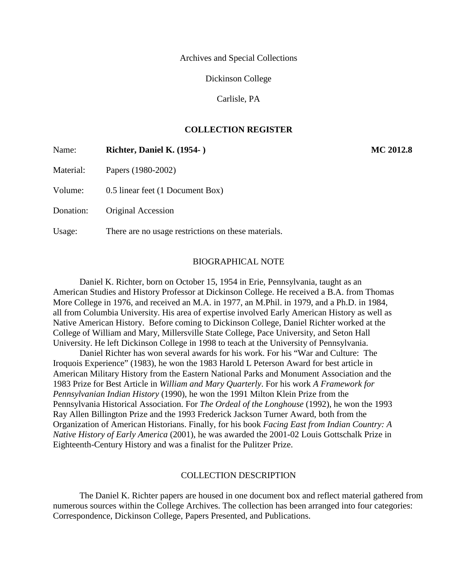Archives and Special Collections

Dickinson College

Carlisle, PA

## **COLLECTION REGISTER**

| Name:     | Richter, Daniel K. (1954-)                          | MC 2012.8 |
|-----------|-----------------------------------------------------|-----------|
| Material: | Papers (1980-2002)                                  |           |
| Volume:   | 0.5 linear feet (1 Document Box)                    |           |
| Donation: | Original Accession                                  |           |
| Usage:    | There are no usage restrictions on these materials. |           |

#### BIOGRAPHICAL NOTE

Daniel K. Richter, born on October 15, 1954 in Erie, Pennsylvania, taught as an American Studies and History Professor at Dickinson College. He received a B.A. from Thomas More College in 1976, and received an M.A. in 1977, an M.Phil. in 1979, and a Ph.D. in 1984, all from Columbia University. His area of expertise involved Early American History as well as Native American History. Before coming to Dickinson College, Daniel Richter worked at the College of William and Mary, Millersville State College, Pace University, and Seton Hall University. He left Dickinson College in 1998 to teach at the University of Pennsylvania.

Daniel Richter has won several awards for his work. For his "War and Culture: The Iroquois Experience" (1983), he won the 1983 Harold L Peterson Award for best article in American Military History from the Eastern National Parks and Monument Association and the 1983 Prize for Best Article in *William and Mary Quarterly*. For his work *A Framework for Pennsylvanian Indian History* (1990), he won the 1991 Milton Klein Prize from the Pennsylvania Historical Association. For *The Ordeal of the Longhouse* (1992), he won the 1993 Ray Allen Billington Prize and the 1993 Frederick Jackson Turner Award, both from the Organization of American Historians. Finally, for his book *Facing East from Indian Country: A Native History of Early America* (2001), he was awarded the 2001-02 Louis Gottschalk Prize in Eighteenth-Century History and was a finalist for the Pulitzer Prize.

#### COLLECTION DESCRIPTION

The Daniel K. Richter papers are housed in one document box and reflect material gathered from numerous sources within the College Archives. The collection has been arranged into four categories: Correspondence, Dickinson College, Papers Presented, and Publications.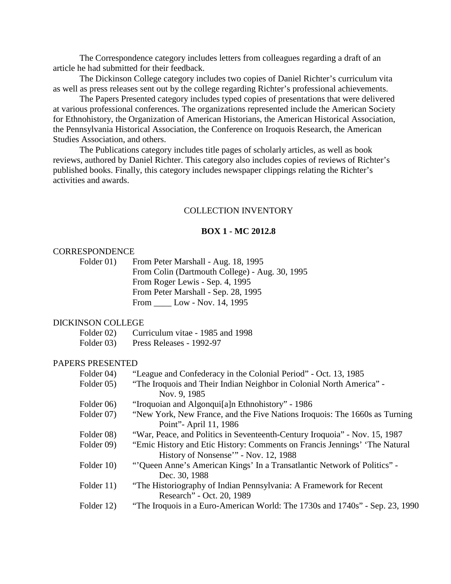The Correspondence category includes letters from colleagues regarding a draft of an article he had submitted for their feedback.

The Dickinson College category includes two copies of Daniel Richter's curriculum vita as well as press releases sent out by the college regarding Richter's professional achievements.

The Papers Presented category includes typed copies of presentations that were delivered at various professional conferences. The organizations represented include the American Society for Ethnohistory, the Organization of American Historians, the American Historical Association, the Pennsylvania Historical Association, the Conference on Iroquois Research, the American Studies Association, and others.

The Publications category includes title pages of scholarly articles, as well as book reviews, authored by Daniel Richter. This category also includes copies of reviews of Richter's published books. Finally, this category includes newspaper clippings relating the Richter's activities and awards.

#### COLLECTION INVENTORY

#### **BOX 1 - MC 2012.8**

#### CORRESPONDENCE

Folder 01) From Peter Marshall - Aug. 18, 1995 From Colin (Dartmouth College) - Aug. 30, 1995 From Roger Lewis - Sep. 4, 1995 From Peter Marshall - Sep. 28, 1995 From \_\_\_\_ Low - Nov. 14, 1995

#### DICKINSON COLLEGE

| Curriculum vitae - 1985 and 1998<br>Folder 02) |
|------------------------------------------------|
|------------------------------------------------|

Folder 03) Press Releases - 1992-97

## PAPERS PRESENTED

| Folder 04) | "League and Confederacy in the Colonial Period" - Oct. 13, 1985              |
|------------|------------------------------------------------------------------------------|
| Folder 05) | "The Iroquois and Their Indian Neighbor in Colonial North America" -         |
|            | Nov. 9, 1985                                                                 |
| Folder 06) | "Iroquoian and Algonqui <sup>[a]</sup> n Ethnohistory" - 1986                |
| Folder 07) | "New York, New France, and the Five Nations Iroquois: The 1660s as Turning   |
|            | Point" - April 11, 1986                                                      |
| Folder 08) | "War, Peace, and Politics in Seventeenth-Century Iroquoia" - Nov. 15, 1987   |
| Folder 09) | "Emic History and Etic History: Comments on Francis Jennings' 'The Natural   |
|            | History of Nonsense'" - Nov. 12, 1988                                        |
| Folder 10) | "Oueen Anne's American Kings' In a Transatlantic Network of Politics" -      |
|            | Dec. 30, 1988                                                                |
| Folder 11) | "The Historiography of Indian Pennsylvania: A Framework for Recent           |
|            | Research" - Oct. 20, 1989                                                    |
| Folder 12) | "The Iroquois in a Euro-American World: The 1730s and 1740s" - Sep. 23, 1990 |
|            |                                                                              |